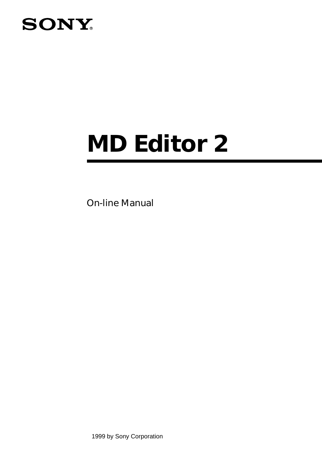# **SONY**

# *MD Editor 2*

On-line Manual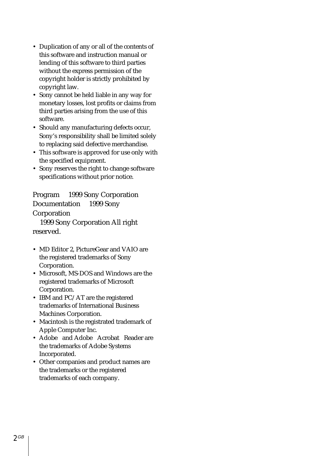- Duplication of any or all of the contents of this software and instruction manual or lending of this software to third parties without the express permission of the copyright holder is strictly prohibited by copyright law.
- Sony cannot be held liable in any way for monetary losses, lost profits or claims from third parties arising from the use of this software.
- Should any manufacturing defects occur, Sony's responsibility shall be limited solely to replacing said defective merchandise.
- This software is approved for use only with the specified equipment.
- Sony reserves the right to change software specifications without prior notice.

Program © 1999 Sony Corporation Documentation © 1999 Sony Corporation 1999 Sony Corporation All right reserved.

- MD Editor 2, PictureGear and VAIO are the registered trademarks of Sony Corporation.
- Microsoft, MS-DOS and Windows are the registered trademarks of Microsoft Corporation.
- IBM and PC/AT are the registered trademarks of International Business Machines Corporation.
- Macintosh is the registrated trademark of Apple Computer Inc.
- Adobe® and Adobe® Acrobat® Reader are the trademarks of Adobe Systems Incorporated.
- Other companies and product names are the trademarks or the registered trademarks of each company.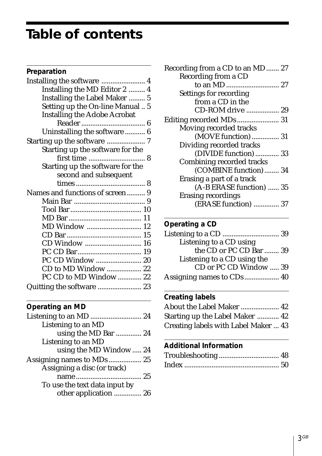# **Table of contents**

| Preparation |  |
|-------------|--|
|-------------|--|

| Installing the MD Editor 2  4       |
|-------------------------------------|
| Installing the Label Maker  5       |
| Setting up the On-line Manual 5     |
| <b>Installing the Adobe Acrobat</b> |
|                                     |
| Uninstalling the software  6        |
| Starting up the software  7         |
| Starting up the software for the    |
|                                     |
| Starting up the software for the    |
| second and subsequent               |
|                                     |
| Names and functions of screen 9     |
|                                     |
|                                     |
|                                     |
| MD Window  12                       |
|                                     |
|                                     |
|                                     |
| PC CD Window  20                    |
| CD to MD Window  22                 |
| PC CD to MD Window  22              |
| Quitting the software  23           |
|                                     |

# **Operating an MD**

| Listening to an MD            |  |
|-------------------------------|--|
| using the MD Bar  24          |  |
| Listening to an MD            |  |
| using the MD Window 24        |  |
|                               |  |
| Assigning a disc (or track)   |  |
|                               |  |
| To use the text data input by |  |
| other application  26         |  |
|                               |  |

| Recording from a CD to an MD 27 |  |
|---------------------------------|--|
| Recording from a CD             |  |
|                                 |  |
| Settings for recording          |  |
| from a CD in the                |  |
| CD-ROM drive  29                |  |
|                                 |  |
| Moving recorded tracks          |  |
| (MOVE function)  31             |  |
| Dividing recorded tracks        |  |
| (DIVIDE function)  33           |  |
| Combining recorded tracks       |  |
| (COMBINE function)  34          |  |
| Erasing a part of a track       |  |
| (A-B ERASE function)  35        |  |
| Erasing recordings              |  |
| (ERASE function)  37            |  |
|                                 |  |

## **Operating a CD**

| the CD or PC CD Bar  39 |
|-------------------------|
|                         |
| CD or PC CD Window  39  |
|                         |
|                         |

## **Creating labels**

| About the Label Maker  42            |  |
|--------------------------------------|--|
| Starting up the Label Maker  42      |  |
| Creating labels with Label Maker  43 |  |

### **Additional Information**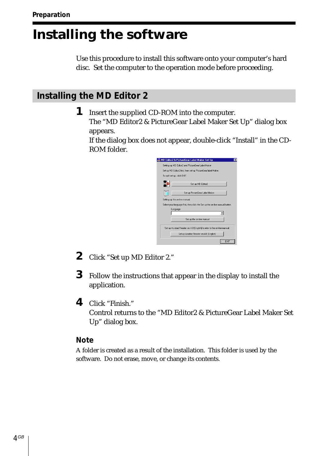# <span id="page-3-0"></span>**Installing the software**

Use this procedure to install this software onto your computer's hard disc. Set the computer to the operation mode before proceeding.

## **Installing the MD Editor 2**

**1** Insert the supplied CD-ROM into the computer. The "MD Editor2 & PictureGear Label Maker Set Up" dialog box appears.

If the dialog box does not appear, double-click "Install" in the CD-ROM folder.

| MD Editor2 & PictureGear Label Maker Set Up                                  | × |
|------------------------------------------------------------------------------|---|
| Setting up MD Editor2 and PictureGear Label Maker                            |   |
| Set up MD Editor2 first, then set up PictureGear label Maker.                |   |
| To gut set up, click EXIT.                                                   |   |
| Set up MD Editor2                                                            |   |
| Set up PictureGear Label Maker                                               |   |
| Setting up the on-line manual.                                               |   |
| Select your language first, then click the Set up the on-line manual button. |   |
| Language                                                                     |   |
|                                                                              |   |
| Set up the on-line manual                                                    |   |
| Set up Acrobat Reader ver. 4.0 [English] to refer to the on-line manual.     |   |
| Set up Acrobat Reader ver. 4.0 (English)                                     |   |
| FX11                                                                         |   |

- **2** Click "Set up MD Editor 2."
- **3** Follow the instructions that appear in the display to install the application.
- **4** Click "Finish." Control returns to the "MD Editor2 & PictureGear Label Maker Set Up" dialog box.

#### **Note**

A folder is created as a result of the installation. This folder is used by the software. Do not erase, move, or change its contents.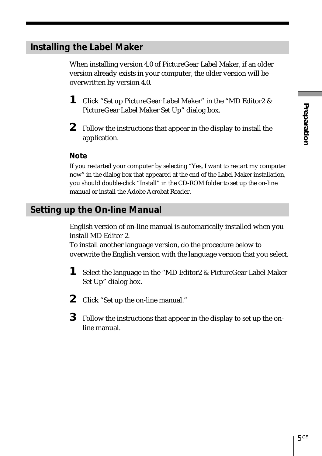# <span id="page-4-0"></span>**Installing the Label Maker**

When installing version 4.0 of PictureGear Label Maker, if an older version already exists in your computer, the older version will be overwritten by version 4.0.

- **1** Click "Set up PictureGear Label Maker" in the "MD Editor2 & PictureGear Label Maker Set Up" dialog box.
- **2** Follow the instructions that appear in the display to install the application.

#### **Note**

If you restarted your computer by selecting "Yes, I want to restart my computer now" in the dialog box that appeared at the end of the Label Maker installation, you should double-click "Install" in the CD-ROM folder to set up the on-line manual or install the Adobe Acrobat Reader.

## **Setting up the On-line Manual**

English version of on-line manual is automarically installed when you install MD Editor 2.

To install another language version, do the procedure below to overwrite the English version with the language version that you select.

- **1** Select the language in the "MD Editor2 & PictureGear Label Maker Set Up" dialog box.
- **2** Click "Set up the on-line manual."
- **3** Follow the instructions that appear in the display to set up the online manual.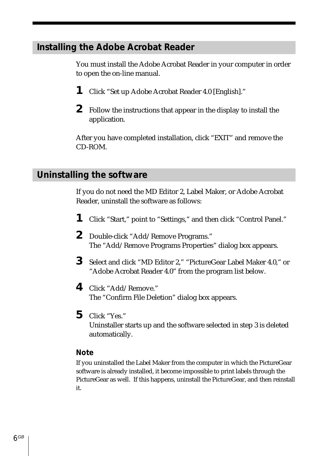## <span id="page-5-0"></span>**Installing the Adobe Acrobat Reader**

You must install the Adobe Acrobat Reader in your computer in order to open the on-line manual.

- **1** Click "Set up Adobe Acrobat Reader 4.0 [English]."
- **2** Follow the instructions that appear in the display to install the application.

After you have completed installation, click "EXIT" and remove the CD-ROM.

## **Uninstalling the software**

If you do not need the MD Editor 2, Label Maker, or Adobe Acrobat Reader, uninstall the software as follows:

- **1** Click "Start," point to "Settings," and then click "Control Panel."
- **2** Double-click "Add/Remove Programs." The "Add/Remove Programs Properties" dialog box appears.
- **3** Select and click "MD Editor 2," "PictureGear Label Maker 4.0," or "Adobe Acrobat Reader 4.0" from the program list below.
- **4** Click "Add/Remove." The "Confirm File Deletion" dialog box appears.
- **5** Click "Yes." Uninstaller starts up and the software selected in step 3 is deleted automatically.

#### **Note**

If you uninstalled the Label Maker from the computer in which the PictureGear software is already installed, it become impossible to print labels through the PictureGear as well. If this happens, uninstall the PictureGear, and then reinstall it.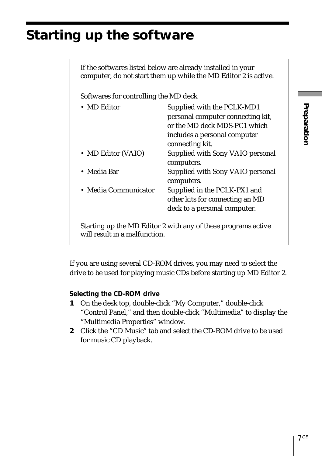# <span id="page-6-0"></span>**Starting up the software**

If the softwares listed below are already installed in your computer, do not start them up while the MD Editor 2 is active. Softwares for controlling the MD deck • MD Editor Supplied with the PCLK-MD1 personal computer connecting kit, or the MD deck MDS-PC1 which includes a personal computer connecting kit. • MD Editor (VAIO) Supplied with Sony VAIO personal computers. • Media Bar Supplied with Sony VAIO personal computers. • Media Communicator Supplied in the PCLK-PX1 and other kits for connecting an MD deck to a personal computer. Starting up the MD Editor 2 with any of these programs active will result in a malfunction.

If you are using several CD-ROM drives, you may need to select the drive to be used for playing music CDs before starting up MD Editor 2.

#### **Selecting the CD-ROM drive**

- **1** On the desk top, double-click "My Computer," double-click "Control Panel," and then double-click "Multimedia" to display the "Multimedia Properties" window.
- **2** Click the "CD Music" tab and select the CD-ROM drive to be used for music CD playback.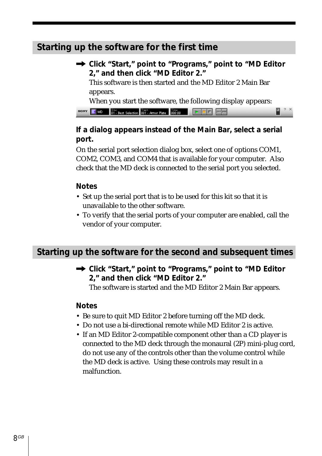# <span id="page-7-0"></span>**Starting up the software for the first time**

/ **Click "Start," point to "Programs," point to "MD Editor 2," and then click "MD Editor 2."** This software is then started and the MD Editor 2 Main Bar appears. When you start the software, the following display appears:

| <b>BONY</b> $\begin{bmatrix} \bullet & \bullet & \bullet \\ \bullet & \bullet & \bullet \end{bmatrix}$ best Selection $\begin{bmatrix} \text{Text} & \text{Term} & \text{Filter} \\ \text{100} & \text{11} & \text{Input} \end{bmatrix}$ $\begin{bmatrix} \bullet & \bullet & \bullet \\ \bullet & \bullet & \bullet \end{bmatrix}$ $\begin{bmatrix} \bullet & \bullet & \bullet \\ \bullet & \bullet & \bullet \end{bmatrix}$ $\begin{bmatrix} \bullet & \bullet & \bullet \\ \bullet & \bullet & \bullet \end{bmatrix}$ $\begin{bmatrix} \bullet & \bullet & \bullet \\ \bullet$ |  |  |  |  |
|------------------------------------------------------------------------------------------------------------------------------------------------------------------------------------------------------------------------------------------------------------------------------------------------------------------------------------------------------------------------------------------------------------------------------------------------------------------------------------------------------------------------------------------------------------------------------------|--|--|--|--|

#### **If a dialog appears instead of the Main Bar, select a serial port.**

On the serial port selection dialog box, select one of options COM1, COM2, COM3, and COM4 that is available for your computer. Also check that the MD deck is connected to the serial port you selected.

#### **Notes**

- Set up the serial port that is to be used for this kit so that it is unavailable to the other software.
- To verify that the serial ports of your computer are enabled, call the vendor of your computer.

## **Starting up the software for the second and subsequent times**

/ **Click "Start," point to "Programs," point to "MD Editor 2," and then click "MD Editor 2."**

The software is started and the MD Editor 2 Main Bar appears.

#### **Notes**

- Be sure to quit MD Editor 2 before turning off the MD deck.
- Do not use a bi-directional remote while MD Editor 2 is active.
- If an MD Editor 2-compatible component other than a CD player is connected to the MD deck through the monaural (2P) mini-plug cord, do not use any of the controls other than the volume control while the MD deck is active. Using these controls may result in a malfunction.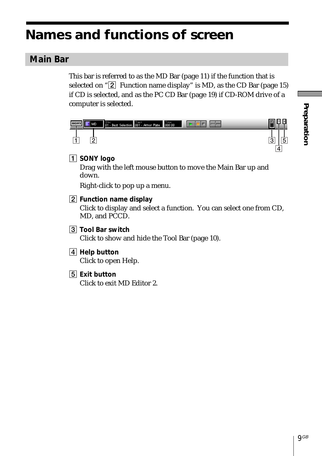# <span id="page-8-0"></span>**Names and functions of screen**

# **Main Bar**

This bar is referred to as the MD Bar (page 11) if the function that is selected on " $\boxed{2}$  Function name display" is MD, as the CD Bar (page 15) if CD is selected, and as the PC CD Bar (page 19) if CD-ROM drive of a computer is selected.

| 80 | MD     | Disc<br>01 - Best Selection 001 - Armor Plate 000:00 |  |
|----|--------|------------------------------------------------------|--|
|    | C<br>ے |                                                      |  |
|    |        |                                                      |  |

1 **SONY logo**

Drag with the left mouse button to move the Main Bar up and down.

Right-click to pop up a menu.

2 **Function name display**

Click to display and select a function. You can select one from CD, MD, and PCCD.

- 3 **Tool Bar switch** Click to show and hide the Tool Bar (page 10).
- 4 **Help button** Click to open Help.
- 5 **Exit button** Click to exit MD Editor 2.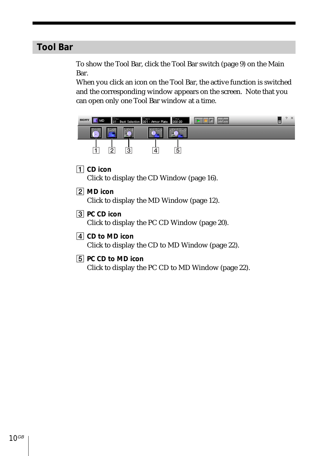# <span id="page-9-0"></span>**Tool Bar**

To show the Tool Bar, click the Tool Bar switch (page 9) on the Main Bar.

When you click an icon on the Tool Bar, the active function is switched and the corresponding window appears on the screen. Note that you can open only one Tool Bar window at a time.

| SONY<br>MD |  | Disc Dest Selection 001 - Armor Plate 000:00 |   |  | 四 | $\mathbf x$ |
|------------|--|----------------------------------------------|---|--|---|-------------|
| п          |  |                                              |   |  |   |             |
|            |  |                                              | 5 |  |   |             |

- 1 **CD icon** Click to display the CD Window (page 16).
- 2 **MD icon**

Click to display the MD Window (page 12).

- 3 **PC CD icon** Click to display the PC CD Window (page 20).
- 4 **CD to MD icon** Click to display the CD to MD Window (page 22).
- 5 **PC CD to MD icon**

Click to display the PC CD to MD Window (page 22).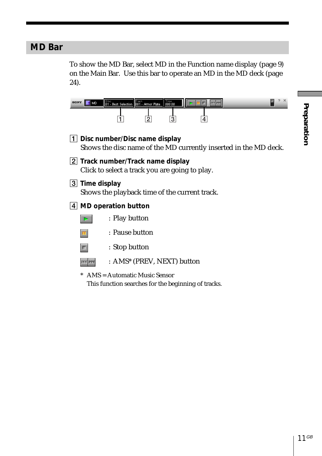# Preparation **Preparation**

# <span id="page-10-0"></span>**MD Bar**

To show the MD Bar, select MD in the Function name display (page 9) on the Main Bar. Use this bar to operate an MD in the MD deck (page 24).

| МD             | Disc Dest Selection 1901 - Armor Plate 1900:00                                      |  |                                                                  |  |
|----------------|-------------------------------------------------------------------------------------|--|------------------------------------------------------------------|--|
|                |                                                                                     |  |                                                                  |  |
|                | 1 Disc number/Disc name display                                                     |  | Shows the disc name of the MD currently inserted in the MD deck. |  |
|                | 2 Track number/Track name display<br>Click to select a track you are going to play. |  |                                                                  |  |
| 3 Time display | Shows the playback time of the current track.                                       |  |                                                                  |  |
|                | 4 MD operation button                                                               |  |                                                                  |  |
|                | : Play button                                                                       |  |                                                                  |  |
|                | : Pause button                                                                      |  |                                                                  |  |
|                | : Stop button                                                                       |  |                                                                  |  |
|                | : AMS* (PREV, NEXT) button                                                          |  |                                                                  |  |
|                |                                                                                     |  |                                                                  |  |

\* AMS = Automatic Music Sensor This function searches for the beginning of tracks.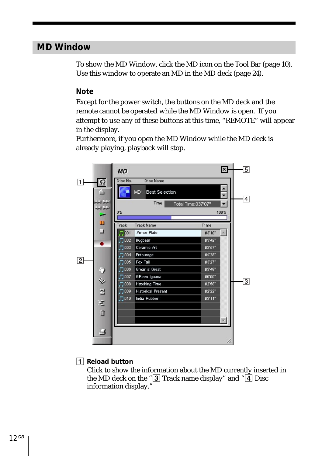# <span id="page-11-0"></span>**MD Window**

To show the MD Window, click the MD icon on the Tool Bar (page 10). Use this window to operate an MD in the MD deck (page 24).

#### **Note**

Except for the power switch, the buttons on the MD deck and the remote cannot be operated while the MD Window is open. If you attempt to use any of these buttons at this time, "REMOTE" will appear in the display.

Furthermore, if you open the MD Window while the MD deck is already playing, playback will stop.



#### 1 **Reload button**

Click to show the information about the MD currently inserted in the MD deck on the " $\boxed{3}$  Track name display" and " $\boxed{4}$  Disc information display."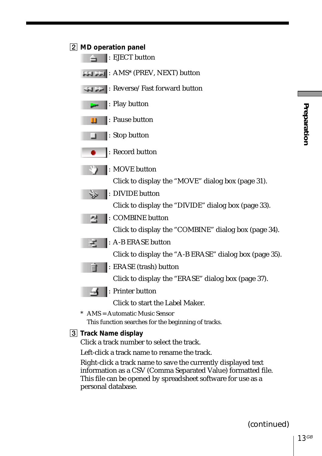

Click a track number to select the track.

Left-click a track name to rename the track.

Right-click a track name to save the currently displayed text information as a CSV (Comma Separated Value) formatted file. This file can be opened by spreadsheet software for use as a personal database.

Preparation **Preparation**

(continued)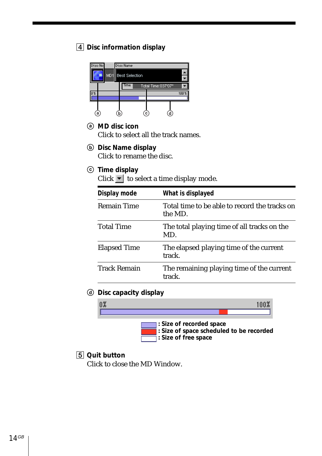#### 4 **Disc information display**



- (a) **MD** disc icon Click to select all the track names.
- b **Disc Name display**

Click to rename the disc.

 $©$  **Time display** 

Click  $\blacktriangleright$  to select a time display mode.

| Display mode        | What is displayed                                        |
|---------------------|----------------------------------------------------------|
| <b>Remain Time</b>  | Total time to be able to record the tracks on<br>the MD. |
| <b>Total Time</b>   | The total playing time of all tracks on the<br>MD.       |
| <b>Elapsed Time</b> | The elapsed playing time of the current<br>track.        |
| <b>Track Remain</b> | The remaining playing time of the current<br>track.      |

d **Disc capacity display**



#### 5 **Quit button**

Click to close the MD Window.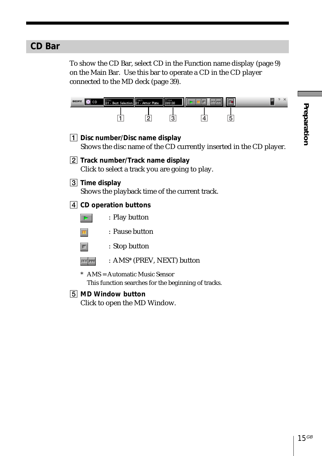# <span id="page-14-0"></span>**CD Bar**

To show the CD Bar, select CD in the Function name display (page 9) on the Main Bar. Use this bar to operate a CD in the CD player connected to the MD deck (page 39).

| SONY | CD             | Disc Dest Selection 01 - Armor Plate                                                | 000:00                     |                                                                    |  |
|------|----------------|-------------------------------------------------------------------------------------|----------------------------|--------------------------------------------------------------------|--|
|      |                |                                                                                     | 3                          | 5                                                                  |  |
|      |                | 1 Disc number/Disc name display                                                     |                            | Shows the disc name of the CD currently inserted in the CD player. |  |
|      |                | 2 Track number/Track name display<br>Click to select a track you are going to play. |                            |                                                                    |  |
|      | 3 Time display | Shows the playback time of the current track.                                       |                            |                                                                    |  |
|      |                | $\vert 4\vert$ CD operation buttons                                                 |                            |                                                                    |  |
|      |                | : Play button                                                                       |                            |                                                                    |  |
|      |                | : Pause button                                                                      |                            |                                                                    |  |
|      |                | : Stop button                                                                       |                            |                                                                    |  |
|      |                |                                                                                     | : AMS* (PREV, NEXT) button |                                                                    |  |
|      |                | AMS = Automatic Music Sensor<br>This function searches for the beginning of tracks. |                            |                                                                    |  |
| 151  |                | <b>MD Window button</b>                                                             |                            |                                                                    |  |
|      |                | Click to open the MD Window.                                                        |                            |                                                                    |  |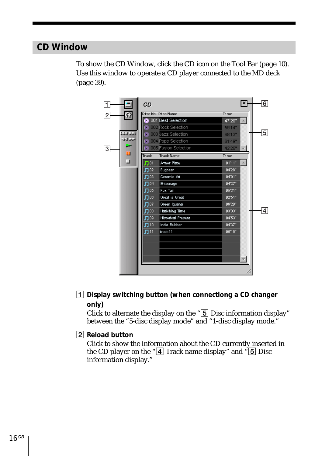# <span id="page-15-0"></span>**CD Window**

To show the CD Window, click the CD icon on the Tool Bar (page 10). Use this window to operate a CD player connected to the MD deck (page 39).



1 **Display switching button (when connectiong a CD changer only)**

Click to alternate the display on the " $\overline{5}$  Disc information display" between the "5-disc display mode" and "1-disc display mode."

#### 2 **Reload button**

Click to show the information about the CD currently inserted in the CD player on the " $\overline{4}$  Track name display" and " $\overline{5}$  Disc information display."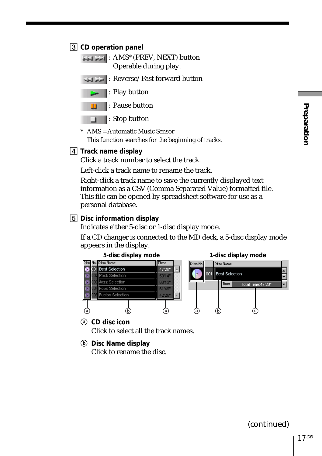#### 3 **CD operation panel**

: AMS\* (PREV, NEXT) button Operable during play.



: Pause button n

Stop button

\* AMS = Automatic Music Sensor This function searches for the beginning of tracks.

4 **Track name display**

Click a track number to select the track.

Left-click a track name to rename the track.

Right-click a track name to save the currently displayed text information as a CSV (Comma Separated Value) formatted file. This file can be opened by spreadsheet software for use as a personal database.

#### 5 **Disc information display**

Indicates either 5-disc or 1-disc display mode.

If a CD changer is connected to the MD deck, a 5-disc display mode appears in the display.



a **CD disc icon**

Click to select all the track names.

b **Disc Name display**

Click to rename the disc.

(continued)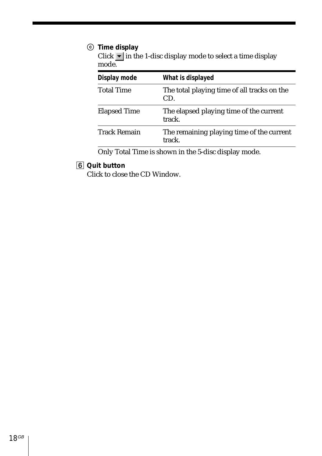#### $©$  **Time display**

Click  $\blacktriangleright$  in the 1-disc display mode to select a time display mode.

| Display mode        | What is displayed                                   |
|---------------------|-----------------------------------------------------|
| <b>Total Time</b>   | The total playing time of all tracks on the<br>CD.  |
| <b>Elapsed Time</b> | The elapsed playing time of the current<br>track.   |
| <b>Track Remain</b> | The remaining playing time of the current<br>track. |

Only Total Time is shown in the 5-disc display mode.

#### 6 **Quit button**

Click to close the CD Window.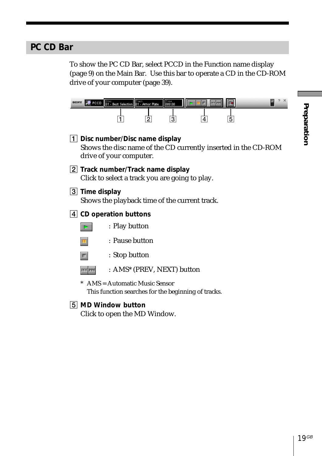# Preparation **Preparation**

# <span id="page-18-0"></span>**PC CD Bar**

To show the PC CD Bar, select PCCD in the Function name display (page 9) on the Main Bar. Use this bar to operate a CD in the CD-ROM drive of your computer (page 39).

| YKOB |                | PCCD 01 - Best Selection 01 - Armor Plate                                           | 000:00 |                                                     |   |                                                                |
|------|----------------|-------------------------------------------------------------------------------------|--------|-----------------------------------------------------|---|----------------------------------------------------------------|
|      |                |                                                                                     | 3      |                                                     | 5 |                                                                |
|      |                | 1   Disc number/Disc name display<br>drive of your computer.                        |        |                                                     |   | Shows the disc name of the CD currently inserted in the CD-ROM |
|      |                | 2 Track number/Track name display<br>Click to select a track you are going to play. |        |                                                     |   |                                                                |
|      | 3 Time display | Shows the playback time of the current track.                                       |        |                                                     |   |                                                                |
|      |                | $\vert 4\vert$ CD operation buttons                                                 |        |                                                     |   |                                                                |
|      |                | : Play button                                                                       |        |                                                     |   |                                                                |
|      |                | : Pause button                                                                      |        |                                                     |   |                                                                |
|      |                | : Stop button                                                                       |        |                                                     |   |                                                                |
|      |                | : AMS* (PREV, NEXT) button                                                          |        |                                                     |   |                                                                |
|      |                | AMS = Automatic Music Sensor                                                        |        | This function searches for the beginning of tracks. |   |                                                                |

5 **MD Window button**

Click to open the MD Window.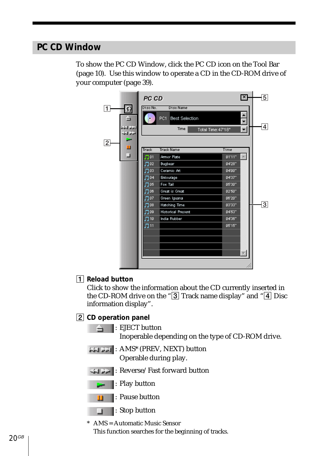# <span id="page-19-0"></span>**PC CD Window**

To show the PC CD Window, click the PC CD icon on the Tool Bar (page 10). Use this window to operate a CD in the CD-ROM drive of your computer (page 39).



#### 1 **Reload button**

Click to show the information about the CD currently inserted in the CD-ROM drive on the " $\overline{3}$  Track name display" and " $\overline{4}$  Disc information display".

#### 2 **CD operation panel**

: EJECT button

Inoperable depending on the type of CD-ROM drive.

: AMS\* (PREV, NEXT) button Operable during play.

: Reverse/Fast forward button



: Play button



□ : Stop button

\* AMS = Automatic Music Sensor This function searches for the beginning of tracks.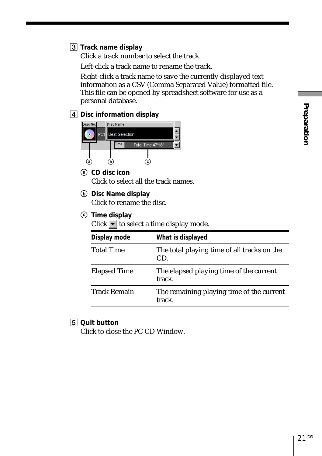#### 3 **Track name display**

Click a track number to select the track.

Left-click a track name to rename the track.

Right-click a track name to save the currently displayed text information as a CSV (Comma Separated Value) formatted file. This file can be opened by spreadsheet software for use as a personal database.

4 **Disc information display**



- a **CD disc icon** Click to select all the track names.
- b **Disc Name display** Click to rename the disc.
- c **Time display**

Click  $\blacktriangleright$  to select a time display mode.

| Display mode        | What is displayed                                   |
|---------------------|-----------------------------------------------------|
| <b>Total Time</b>   | The total playing time of all tracks on the<br>CD.  |
| <b>Elapsed Time</b> | The elapsed playing time of the current<br>track.   |
| <b>Track Remain</b> | The remaining playing time of the current<br>track. |

#### 5 **Quit button**

Click to close the PC CD Window.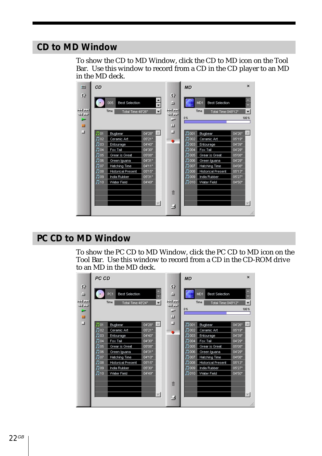## <span id="page-21-0"></span>**CD to MD Window**

To show the CD to MD Window, click the CD to MD icon on the Tool Bar. Use this window to record from a CD in the CD player to an MD in the MD deck.

| $\equiv$                                        | <b>CD</b>    |                                                            |        |                                                                           | <b>MD</b>     |                                                     | $\mathbf{x}$          |   |
|-------------------------------------------------|--------------|------------------------------------------------------------|--------|---------------------------------------------------------------------------|---------------|-----------------------------------------------------|-----------------------|---|
| $\Omega$<br>الغرام المؤمل<br>احتمالك<br>یس<br>ш |              | 005<br><b>Best Selection</b><br>Time<br>Total Time: 48'26" | 圖      | $\Omega$<br>$\triangleq$<br>العرف الخط<br>احتراكت<br><b>Contract</b><br>ш | Time<br>0%    | MD1<br><b>Best Selection</b><br>Total Time: 048'12" | $\frac{1}{2}$<br>100% |   |
| ⊒                                               | $\Pi$ 01     | <b>Bugbear</b>                                             | 04'28" | ⊐                                                                         | $\sqrt{1001}$ | <b>Bugbear</b>                                      | 04'26"                |   |
|                                                 | $\Pi$ 02     | Ceramic Art                                                | 05'21" |                                                                           | $\Box$ 002    | Ceramic Art                                         | 05'19"                |   |
|                                                 | Лоз          | Entourage                                                  | 04'40" |                                                                           | $\Box$ 003    | Entourage                                           | 04'39"                |   |
|                                                 | $\Box$ 04    | Fox Tail                                                   | n4'30" |                                                                           | $\Pi$ 004     | Fox Tail                                            | 04'29"                |   |
|                                                 | $\Pi$ 05     | Grear is Great                                             | 05'08" |                                                                           | $\Box$ 005    | Grear is Great                                      | 05'08"                |   |
|                                                 | $\Box$ 06    | Green Iquana                                               | 04'31" |                                                                           | $\Box$ 006    | Green Iquana                                        | 04'29"                |   |
|                                                 | $\Gamma$ 07  | Hatching Time                                              | 04'11" |                                                                           | Л 007         | <b>Hatching Time</b>                                | 04'08"                |   |
|                                                 | $\square$ 08 | <b>Historical Present</b>                                  | 05'15" |                                                                           | $\square$ 008 | <b>Historical Present</b>                           | 05'13"                |   |
|                                                 | $\Box$ 09    | India Rubber                                               | 05'31" |                                                                           | $\Box$ 009    | India Rubber                                        | 05'27"                |   |
|                                                 | $\Pi$ 10     | <b>Water Field</b>                                         | 04'49" |                                                                           | $\Pi$ 010     | Water Field                                         | 04'50"                |   |
|                                                 |              |                                                            |        | 市                                                                         |               |                                                     |                       |   |
|                                                 |              |                                                            | v.     | ⊌                                                                         |               |                                                     |                       |   |
|                                                 |              |                                                            |        |                                                                           |               |                                                     |                       | h |

# **PC CD to MD Window**

To show the PC CD to MD Window, click the PC CD to MD icon on the Tool Bar. Use this window to record from a CD in the CD-ROM drive to an MD in the MD deck.

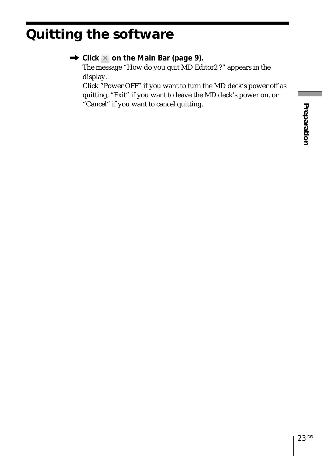# <span id="page-22-0"></span>**Quitting the software**

| $\rightarrow$ Click $\times$ on the Main Bar (page 9).           |
|------------------------------------------------------------------|
| The message "How do you quit MD Editor2 ?" appears in the        |
| display.                                                         |
| Click "Power OFF" if you want to turn the MD deck's power off as |
| quitting, "Exit" if you want to leave the MD deck's power on, or |
| "Cancel" if you want to cancel quitting.                         |
|                                                                  |
|                                                                  |
|                                                                  |
|                                                                  |
|                                                                  |
|                                                                  |
|                                                                  |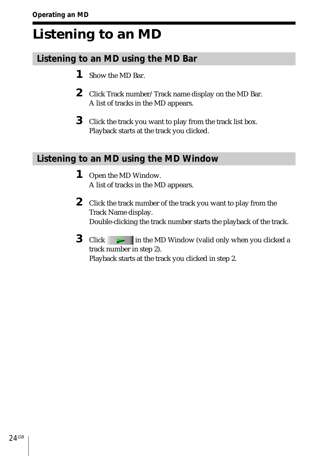# <span id="page-23-0"></span>**Listening to an MD**

# **Listening to an MD using the MD Bar**

- **1** Show the MD Bar.
- **2** Click Track number/Track name display on the MD Bar. A list of tracks in the MD appears.
- **3** Click the track you want to play from the track list box. Playback starts at the track you clicked.

# **Listening to an MD using the MD Window**

- **1** Open the MD Window. A list of tracks in the MD appears.
- **2** Click the track number of the track you want to play from the Track Name display. Double-clicking the track number starts the playback of the track.
- **3** Click in the MD Window (valid only when you clicked a track number in step 2). Playback starts at the track you clicked in step 2.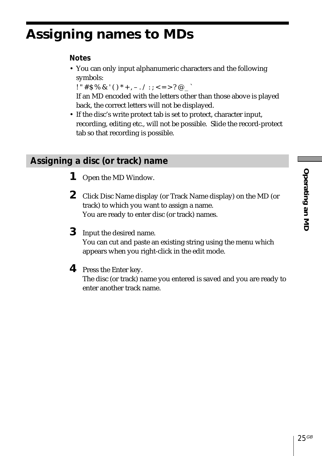# <span id="page-24-0"></span>**Assigning names to MDs**

## **Notes**

• You can only input alphanumeric characters and the following symbols:

! "  $\# S \% \& '() * +, - \cdot / : ; < = > ? @$ 

If an MD encoded with the letters other than those above is played back, the correct letters will not be displayed.

• If the disc's write protect tab is set to protect, character input, recording, editing etc., will not be possible. Slide the record-protect tab so that recording is possible.

# **Assigning a disc (or track) name**

- **1** Open the MD Window.
- **2** Click Disc Name display (or Track Name display) on the MD (or track) to which you want to assign a name. You are ready to enter disc (or track) names.
- **3** Input the desired name. You can cut and paste an existing string using the menu which appears when you right-click in the edit mode.
- **4** Press the Enter key.

The disc (or track) name you entered is saved and you are ready to enter another track name.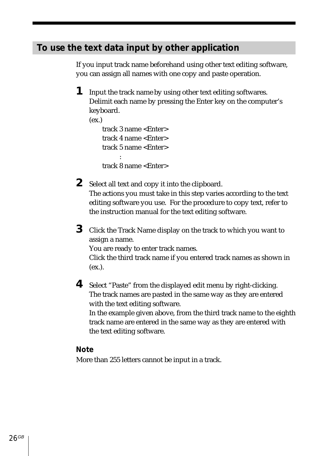# <span id="page-25-0"></span>**To use the text data input by other application**

If you input track name beforehand using other text editing software, you can assign all names with one copy and paste operation.

- **1** Input the track name by using other text editing softwares. Delimit each name by pressing the Enter key on the computer's keyboard.  $(ex.)$ track 3 name <Enter> track 4 name <Enter> track 5 name <Enter> : track 8 name <Enter>
- **2** Select all text and copy it into the clipboard. The actions you must take in this step varies according to the text editing software you use. For the procedure to copy text, refer to the instruction manual for the text editing software.
- **3** Click the Track Name display on the track to which you want to assign a name. You are ready to enter track names. Click the third track name if you entered track names as shown in (ex.).
- **4** Select "Paste" from the displayed edit menu by right-clicking. The track names are pasted in the same way as they are entered with the text editing software. In the example given above, from the third track name to the eighth track name are entered in the same way as they are entered with the text editing software.

#### **Note**

More than 255 letters cannot be input in a track.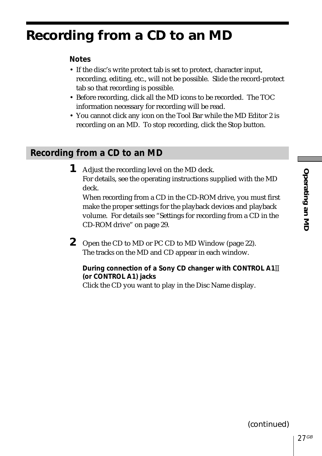# <span id="page-26-0"></span>**Recording from a CD to an MD**

#### **Notes**

- If the disc's write protect tab is set to protect, character input, recording, editing, etc., will not be possible. Slide the record-protect tab so that recording is possible.
- Before recording, click all the MD icons to be recorded. The TOC information necessary for recording will be read.
- You cannot click any icon on the Tool Bar while the MD Editor 2 is recording on an MD. To stop recording, click the Stop button.

# **Recording from a CD to an MD**

**1** Adjust the recording level on the MD deck. For details, see the operating instructions supplied with the MD deck. When recording from a CD in the CD-ROM drive, you must first

make the proper settings for the playback devices and playback volume. For details see "Settings for recording from a CD in the CD-ROM drive" on page 29.

**2** Open the CD to MD or PC CD to MD Window (page 22). The tracks on the MD and CD appear in each window.

**During connection of a Sony CD changer with CONTROL A1 (or CONTROL A1) jacks** Click the CD you want to play in the Disc Name display.

(continued)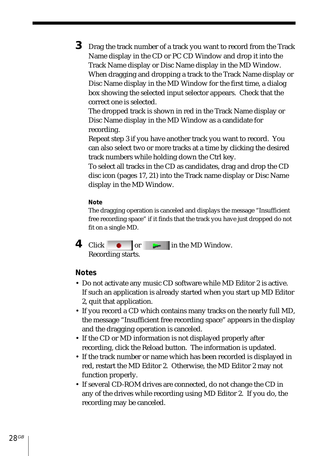**3** Drag the track number of a track you want to record from the Track Name display in the CD or PC CD Window and drop it into the Track Name display or Disc Name display in the MD Window. When dragging and dropping a track to the Track Name display or Disc Name display in the MD Window for the first time, a dialog box showing the selected input selector appears. Check that the correct one is selected.

The dropped track is shown in red in the Track Name display or Disc Name display in the MD Window as a candidate for recording.

Repeat step 3 if you have another track you want to record. You can also select two or more tracks at a time by clicking the desired track numbers while holding down the Ctrl key.

To select all tracks in the CD as candidates, drag and drop the CD disc icon (pages 17, 21) into the Track name display or Disc Name display in the MD Window.

#### **Note**

The dragging operation is canceled and displays the message "Insufficient free recording space" if it finds that the track you have just dropped do not fit on a single MD.

**4** Click or **in** the MD Window. Recording starts.

#### **Notes**

- Do not activate any music CD software while MD Editor 2 is active. If such an application is already started when you start up MD Editor 2, quit that application.
- If you record a CD which contains many tracks on the nearly full MD, the message "Insufficient free recording space" appears in the display and the dragging operation is canceled.
- If the CD or MD information is not displayed properly after recording, click the Reload button. The information is updated.
- If the track number or name which has been recorded is displayed in red, restart the MD Editor 2. Otherwise, the MD Editor 2 may not function properly.
- If several CD-ROM drives are connected, do not change the CD in any of the drives while recording using MD Editor 2. If you do, the recording may be canceled.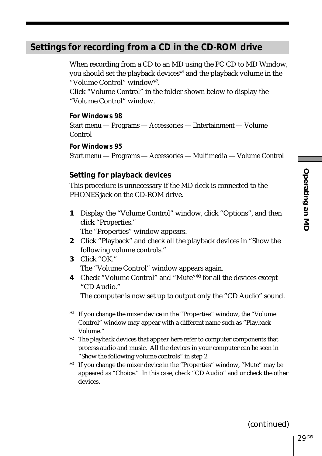# Operating an ML **Operating an MD**

# <span id="page-28-0"></span>**Settings for recording from a CD in the CD-ROM drive**

When recording from a CD to an MD using the PC CD to MD Window, you should set the playback devices\*1 and the playback volume in the "Volume Control" window\*2 .

Click "Volume Control" in the folder shown below to display the "Volume Control" window.

**For Windows 98** Start menu — Programs — Accessories — Entertainment — Volume Control

**For Windows 95** Start menu — Programs — Accessories — Multimedia — Volume Control

#### **Setting for playback devices**

This procedure is unnecessary if the MD deck is connected to the PHONES jack on the CD-ROM drive.

- **1** Display the "Volume Control" window, click "Options", and then click "Properties." The "Properties" window appears.
- **2** Click "Playback" and check all the playback devices in "Show the following volume controls."
- **3** Click "OK." The "Volume Control" window appears again.
- **4** Check "Volume Control" and "Mute"\*3 for all the devices except "CD Audio."

The computer is now set up to output only the "CD Audio" sound.

- \*1 If you change the mixer device in the "Properties" window, the "Volume Control" window may appear with a different name such as "Playback Volume."
- \*2 The playback devices that appear here refer to computer components that process audio and music. All the devices in your computer can be seen in "Show the following volume controls" in step 2.
- \*3 If you change the mixer device in the "Properties" window, "Mute" may be appeared as "Choice." In this case, check "CD Audio" and uncheck the other devices.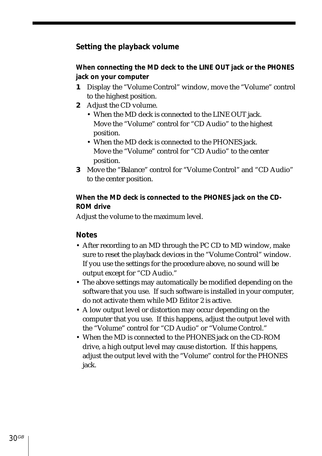#### **Setting the playback volume**

#### **When connecting the MD deck to the LINE OUT jack or the PHONES jack on your computer**

- **1** Display the "Volume Control" window, move the "Volume" control to the highest position.
- **2** Adjust the CD volume.
	- When the MD deck is connected to the LINE OUT jack. Move the "Volume" control for "CD Audio" to the highest position.
	- When the MD deck is connected to the PHONES jack. Move the "Volume" control for "CD Audio" to the center position.
- **3** Move the "Balance" control for "Volume Control" and "CD Audio" to the center position.

#### **When the MD deck is connected to the PHONES jack on the CD-ROM drive**

Adjust the volume to the maximum level.

#### **Notes**

- After recording to an MD through the PC CD to MD window, make sure to reset the playback devices in the "Volume Control" window. If you use the settings for the procedure above, no sound will be output except for "CD Audio."
- The above settings may automatically be modified depending on the software that you use. If such software is installed in your computer, do not activate them while MD Editor 2 is active.
- A low output level or distortion may occur depending on the computer that you use. If this happens, adjust the output level with the "Volume" control for "CD Audio" or "Volume Control."
- When the MD is connected to the PHONES jack on the CD-ROM drive, a high output level may cause distortion. If this happens, adjust the output level with the "Volume" control for the PHONES jack.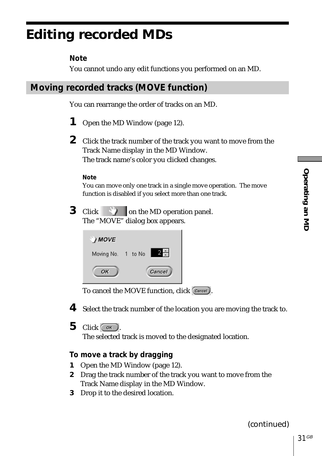# <span id="page-30-0"></span>**Editing recorded MDs**

# **Note**

You cannot undo any edit functions you performed on an MD.

You can rearrange the order of tracks on an MD.

- **1** Open the MD Window (page 12).
- **2** Click the track number of the track you want to move from the Track Name display in the MD Window. The track name's color you clicked changes.

#### **Note**

You can move only one track in a single move operation. The move function is disabled if you select more than one track.

**3** Click **on** the MD operation panel. The "MOVE" dialog box appears.

| MOVE               |  |        |
|--------------------|--|--------|
| Moving No. 1 to No |  |        |
| OK                 |  | Cancel |

To cancel the MOVE function, click Cancel).

**4** Select the track number of the location you are moving the track to.

 $5$  Click  $\frac{8}{x}$ 

The selected track is moved to the designated location.

## **To move a track by dragging**

- **1** Open the MD Window (page 12).
- **2** Drag the track number of the track you want to move from the Track Name display in the MD Window.
- **3** Drop it to the desired location.

(continued)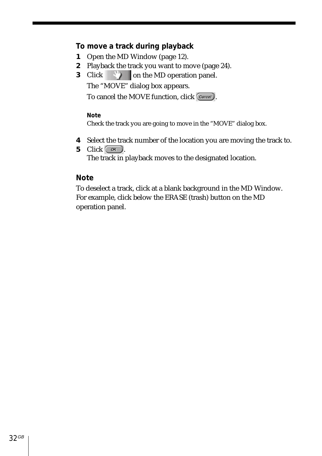#### **To move a track during playback**

- **1** Open the MD Window (page 12).
- **2** Playback the track you want to move (page 24).
- **3** Click **on the MD** operation panel.

The "MOVE" dialog box appears.

To cancel the MOVE function, click Cancel).

#### **Note**

Check the track you are going to move in the "MOVE" dialog box.

- **4** Select the track number of the location you are moving the track to.
- **5** Click  $\circ$ The track in playback moves to the designated location.

#### **Note**

To deselect a track, click at a blank background in the MD Window. For example, click below the ERASE (trash) button on the MD operation panel.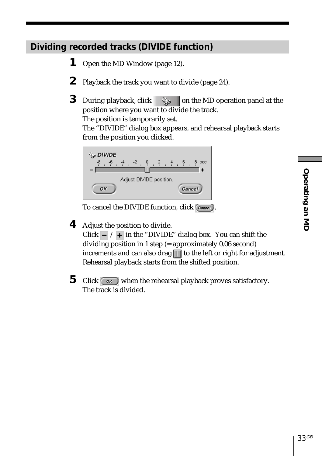# <span id="page-32-0"></span>**Dividing recorded tracks (DIVIDE function)**

- **1** Open the MD Window (page 12).
- **2** Playback the track you want to divide (page 24).
- **3** During playback, click  $\leq \qquad$  on the MD operation panel at the position where you want to divide the track.

The position is temporarily set.

The "DIVIDE" dialog box appears, and rehearsal playback starts from the position you clicked.



To cancel the DIVIDE function, click  $\boxed{\text{Cancel}}$ .

**4** Adjust the position to divide.

Click  $\overline{\phantom{a}}$  /  $\overline{\phantom{a}}$  in the "DIVIDE" dialog box. You can shift the dividing position in 1 step (= approximately 0.06 second) increments and can also drag  $\Box$  to the left or right for adjustment. Rehearsal playback starts from the shifted position.

**5** Click when the rehearsal playback proves satisfactory. The track is divided.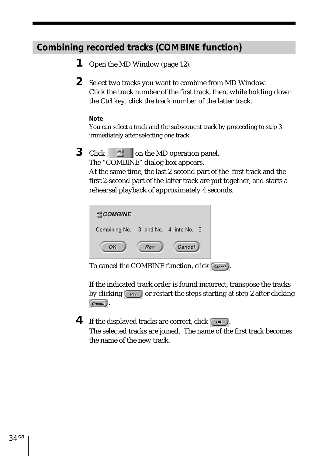# <span id="page-33-0"></span>**Combining recorded tracks (COMBINE function)**

- **1** Open the MD Window (page 12).
- **2** Select two tracks you want to combine from MD Window. Click the track number of the first track, then, while holding down the Ctrl key, click the track number of the latter track.

#### **Note**

You can select a track and the subsequent track by proceeding to step 3 immediately after selecting one track.

**3** Click **definition** che MD operation panel.

The "COMBINE" dialog box appears.

At the same time, the last 2-second part of the first track and the first 2-second part of the latter track are put together, and starts a rehearsal playback of approximately 4 seconds.



To cancel the COMBINE function, click  $(\overline{C_{\text{ancell}}})$ 

If the indicated track order is found incorrect, transpose the tracks by clicking  $\sqrt{\frac{Rev}{\pi}}$  or restart the steps starting at step 2 after clicking Cancel<sub></sub>.

**4** If the displayed tracks are correct, click  $\overline{\left(\begin{array}{cc} \circ\kappa \end{array}\right)}$ . The selected tracks are joined. The name of the first track becomes the name of the new track.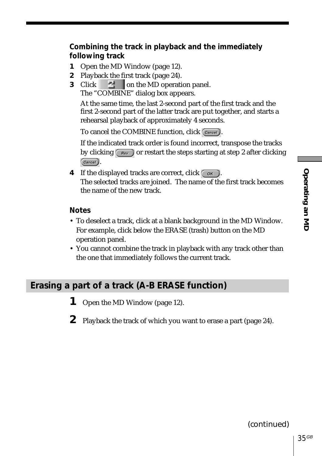#### <span id="page-34-0"></span>**Combining the track in playback and the immediately following track**

- **1** Open the MD Window (page 12).
- **2** Playback the first track (page 24).
- **3** Click **definition** the MD operation panel. The "COMBINE" dialog box appears.

At the same time, the last 2-second part of the first track and the first 2-second part of the latter track are put together, and starts a rehearsal playback of approximately 4 seconds.

To cancel the COMBINE function, click Cancel).

If the indicated track order is found incorrect, transpose the tracks by clicking  $\sqrt{\frac{Rev}{m}}$  or restart the steps starting at step 2 after clicking Cancel).

**4** If the displayed tracks are correct, click  $\circ$ The selected tracks are joined. The name of the first track becomes the name of the new track.

#### **Notes**

- To deselect a track, click at a blank background in the MD Window. For example, click below the ERASE (trash) button on the MD operation panel.
- You cannot combine the track in playback with any track other than the one that immediately follows the current track.

## **Erasing a part of a track (A-B ERASE function)**

- **1** Open the MD Window (page 12).
- **2** Playback the track of which you want to erase a part (page 24).

(continued)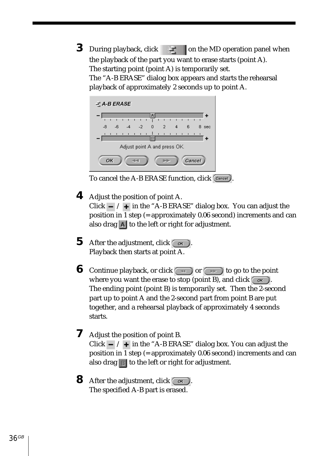**3** During playback, click  $\begin{array}{c} \hline \end{array}$  on the MD operation panel when the playback of the part you want to erase starts (point A). The starting point (point A) is temporarily set. The "A-B ERASE" dialog box appears and starts the rehearsal playback of approximately 2 seconds up to point A.



To cancel the A-B ERASE function, click  $\overline{C_{\text{ancell}}}$ 

- **4** Adjust the position of point A. Click  $\overline{\phantom{a}}$  /  $\overline{\phantom{a}}$  in the "A-B ERASE" dialog box. You can adjust the position in  $\overline{1}$  step (= approximately 0.06 second) increments and can also drag  $\overline{A}$  to the left or right for adjustment.
- **5** After the adjustment, click  $\circ$ Playback then starts at point A.
- **6** Continue playback, or click  $\left(\begin{array}{c} \overline{ } \end{array}\right)$  or  $\left(\begin{array}{c} \overline{ } \end{array}\right)$  to go to the point where you want the erase to stop (point B), and click  $\sim$  . The ending point (point B) is temporarily set. Then the 2-second part up to point A and the 2-second part from point B are put together, and a rehearsal playback of approximately 4 seconds starts.
- **7** Adjust the position of point B. Click  $\overline{\phantom{a}}$  /  $\overline{\phantom{a}}$  in the "A-B ERASE" dialog box. You can adjust the position in 1 step (= approximately 0.06 second) increments and can also drag  $\blacksquare$  to the left or right for adjustment.
- **8** After the adjustment, click  $\circ$ The specified A-B part is erased.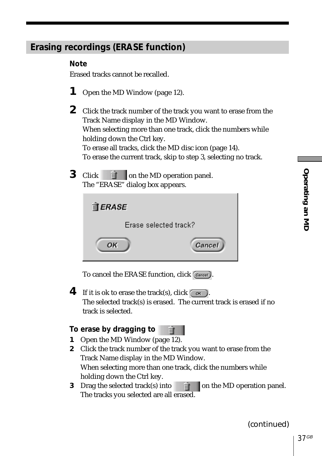# <span id="page-36-0"></span>**Erasing recordings (ERASE function)**

#### **Note**

Erased tracks cannot be recalled.

- **1** Open the MD Window (page 12).
- **2** Click the track number of the track you want to erase from the Track Name display in the MD Window. When selecting more than one track, click the numbers while holding down the Ctrl key. To erase all tracks, click the MD disc icon (page 14). To erase the current track, skip to step 3, selecting no track.
- **3** Click **on** on the MD operation panel. The "ERASE" dialog box appears.

| $\mathbb{\hat{I}}$ ERASE     |        |  |
|------------------------------|--------|--|
| <b>Erase selected track?</b> |        |  |
| OK                           | Cancel |  |

To cancel the ERASE function, click Cancel).

**4** If it is ok to erase the track(s), click  $\overline{\hspace{1cm} \bullet \hspace{1cm}}$ The selected track(s) is erased. The current track is erased if no track is selected.

#### **To erase by dragging**

| tο |  |  |
|----|--|--|
|----|--|--|

- **1** Open the MD Window (page 12).
- **2** Click the track number of the track you want to erase from the Track Name display in the MD Window. When selecting more than one track, click the numbers while holding down the Ctrl key.
- **3** Drag the selected track(s) into  $\vec{m}$  on the MD operation panel. The tracks you selected are all erased.

(continued)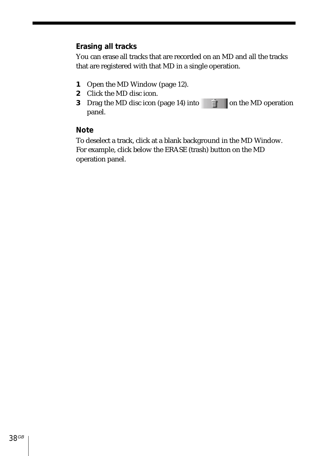#### **Erasing all tracks**

You can erase all tracks that are recorded on an MD and all the tracks that are registered with that MD in a single operation.

- **1** Open the MD Window (page 12).
- **2** Click the MD disc icon.
- **3** Drag the MD disc icon (page 14) into  $\mathbb{R}$  on the MD operation panel.

#### **Note**

To deselect a track, click at a blank background in the MD Window. For example, click below the ERASE (trash) button on the MD operation panel.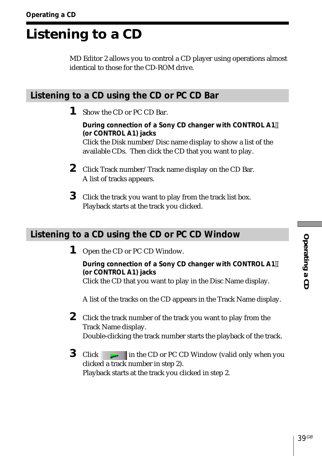# <span id="page-38-0"></span>**Listening to a CD**

MD Editor 2 allows you to control a CD player using operations almost identical to those for the CD-ROM drive.

# **Listening to a CD using the CD or PC CD Bar**

**1** Show the CD or PC CD Bar.

**During connection of a Sony CD changer with CONTROL A1 (or CONTROL A1) jacks** Click the Disk number/Disc name display to show a list of the available CDs. Then click the CD that you want to play.

- **2** Click Track number/Track name display on the CD Bar. A list of tracks appears.
- **3** Click the track you want to play from the track list box. Playback starts at the track you clicked.

# **Listening to a CD using the CD or PC CD Window**

**1** Open the CD or PC CD Window.

**During connection of a Sony CD changer with CONTROL A1 (or CONTROL A1) jacks** Click the CD that you want to play in the Disc Name display.

A list of the tracks on the CD appears in the Track Name display.

- **2** Click the track number of the track you want to play from the Track Name display. Double-clicking the track number starts the playback of the track.
- **3** Click in the CD or PC CD Window (valid only when you clicked a track number in step 2). Playback starts at the track you clicked in step 2.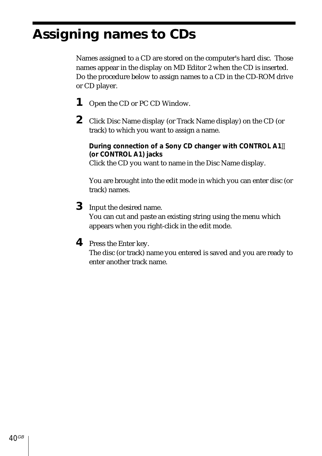# <span id="page-39-0"></span>**Assigning names to CDs**

Names assigned to a CD are stored on the computer's hard disc. Those names appear in the display on MD Editor 2 when the CD is inserted. Do the procedure below to assign names to a CD in the CD-ROM drive or CD player.

- **1** Open the CD or PC CD Window.
- **2** Click Disc Name display (or Track Name display) on the CD (or track) to which you want to assign a name.

**During connection of a Sony CD changer with CONTROL A1 (or CONTROL A1) jacks** Click the CD you want to name in the Disc Name display.

You are brought into the edit mode in which you can enter disc (or track) names.

**3** Input the desired name.

You can cut and paste an existing string using the menu which appears when you right-click in the edit mode.

**4** Press the Enter key.

The disc (or track) name you entered is saved and you are ready to enter another track name.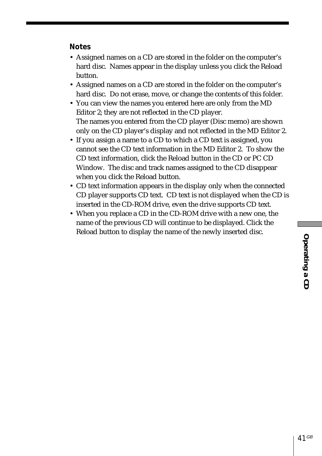#### **Notes**

- Assigned names on a CD are stored in the folder on the computer's hard disc. Names appear in the display unless you click the Reload button.
- Assigned names on a CD are stored in the folder on the computer's hard disc. Do not erase, move, or change the contents of this folder.
- You can view the names you entered here are only from the MD Editor 2; they are not reflected in the CD player. The names you entered from the CD player (Disc memo) are shown only on the CD player's display and not reflected in the MD Editor 2.
- If you assign a name to a CD to which a CD text is assigned, you cannot see the CD text information in the MD Editor 2. To show the CD text information, click the Reload button in the CD or PC CD Window. The disc and track names assigned to the CD disappear when you click the Reload button.
- CD text information appears in the display only when the connected CD player supports CD text. CD text is not displayed when the CD is inserted in the CD-ROM drive, even the drive supports CD text.
- When you replace a CD in the CD-ROM drive with a new one, the name of the previous CD will continue to be displayed. Click the Reload button to display the name of the newly inserted disc.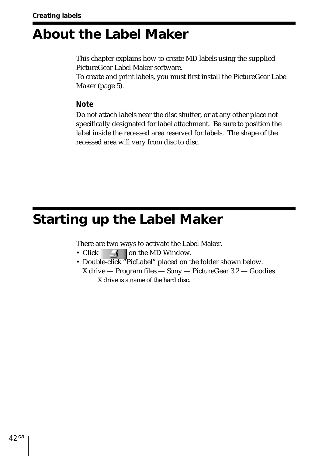# <span id="page-41-0"></span>**About the Label Maker**

This chapter explains how to create MD labels using the supplied PictureGear Label Maker software.

To create and print labels, you must first install the PictureGear Label Maker (page 5).

**Note**

Do not attach labels near the disc shutter, or at any other place not specifically designated for label attachment. Be sure to position the label inside the recessed area reserved for labels. The shape of the recessed area will vary from disc to disc.

# **Starting up the Label Maker**

There are two ways to activate the Label Maker.

- Click  $\overrightarrow{ }$  on the MD Window.
- Double-click "PicLabel" placed on the folder shown below.
- X drive Program files Sony PictureGear 3.2 Goodies X drive is a name of the hard disc.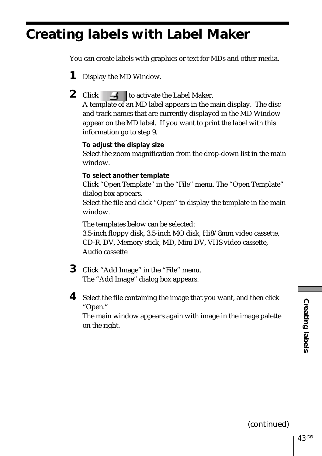# <span id="page-42-0"></span>**Creating labels with Label Maker**

You can create labels with graphics or text for MDs and other media.

- **1** Display the MD Window.
- **2** Click  $\rightarrow$  to activate the Label Maker.

A template of an MD label appears in the main display. The disc and track names that are currently displayed in the MD Window appear on the MD label. If you want to print the label with this information go to step 9.

#### **To adjust the display size**

Select the zoom magnification from the drop-down list in the main window.

#### **To select another template**

Click "Open Template" in the "File" menu. The "Open Template" dialog box appears.

Select the file and click "Open" to display the template in the main window.

The templates below can be selected:

3.5-inch floppy disk, 3.5-inch MO disk, Hi8/8mm video cassette, CD-R, DV, Memory stick, MD, Mini DV, VHS video cassette, Audio cassette

- **3** Click "Add Image" in the "File" menu. The "Add Image" dialog box appears.
- **4** Select the file containing the image that you want, and then click "Open."

The main window appears again with image in the image palette on the right.

(continued)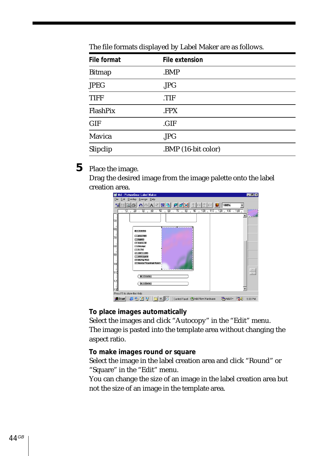| File format   | File extension      |
|---------------|---------------------|
| <b>Bitmap</b> | .BMP                |
| <b>JPEG</b>   | JPG                 |
| <b>TIFF</b>   | .TIF                |
| FlashPix      | .FPX                |
| <b>GIF</b>    | .GIF                |
| Mavica        | JPG                 |
| Slipclip      | .BMP (16-bit color) |

The file formats displayed by Label Maker are as follows.

## **5** Place the image.

Drag the desired image from the image palette onto the label Creation area.<br>**If Md** - PictureGear Label Make



**To place images automatically**

Select the images and click "Autocopy" in the "Edit" menu. The image is pasted into the template area without changing the aspect ratio.

#### **To make images round or square**

Select the image in the label creation area and click "Round" or "Square" in the "Edit" menu.

You can change the size of an image in the label creation area but not the size of an image in the template area.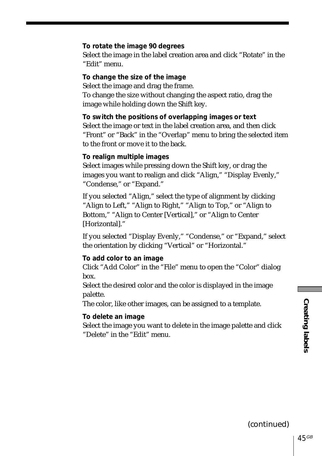#### **To rotate the image 90 degrees**

Select the image in the label creation area and click "Rotate" in the "Edit" menu.

#### **To change the size of the image**

Select the image and drag the frame. To change the size without changing the aspect ratio, drag the image while holding down the Shift key.

**To switch the positions of overlapping images or text** Select the image or text in the label creation area, and then click "Front" or "Back" in the "Overlap" menu to bring the selected item to the front or move it to the back.

#### **To realign multiple images**

Select images while pressing down the Shift key, or drag the images you want to realign and click "Align," "Display Evenly," "Condense," or "Expand."

If you selected "Align," select the type of alignment by clicking "Align to Left," "Align to Right," "Align to Top," or "Align to Bottom," "Align to Center [Vertical]," or "Align to Center [Horizontal]."

If you selected "Display Evenly," "Condense," or "Expand," select the orientation by clicking "Vertical" or "Horizontal."

#### **To add color to an image**

Click "Add Color" in the "File" menu to open the "Color" dialog box.

Select the desired color and the color is displayed in the image palette.

The color, like other images, can be assigned to a template.

#### **To delete an image**

Select the image you want to delete in the image palette and click "Delete" in the "Edit" menu.

(continued)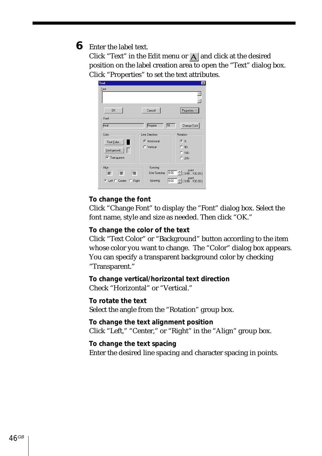## **6** Enter the label text.

Click "Text" in the Edit menu or  $\overline{A}$  and click at the desired position on the label creation area to open the "Text" dialog box. Click "Properties" to set the text attributes.

| Text                                               |                                                  | ×                                                   |
|----------------------------------------------------|--------------------------------------------------|-----------------------------------------------------|
| Text                                               |                                                  |                                                     |
|                                                    |                                                  |                                                     |
| <b>OK</b>                                          | Cancel                                           | Properties <                                        |
| Font                                               |                                                  |                                                     |
| Arial                                              | 匝<br>Regular                                     | Change Font                                         |
| Color                                              | Line Direction                                   | Rotation                                            |
| Text Color                                         | G Horizontal                                     | $G$ 0.                                              |
|                                                    | C Vertical                                       | 90-<br>C                                            |
| Background                                         |                                                  | $C$ 180 $\cdot$                                     |
| $\nabla$ Transparent                               |                                                  | $C$ 270                                             |
| Align<br>罩<br>E<br>寚<br>G Left C Center<br>C Right | Spacing<br>Line Spacing: 0.00<br>0.00<br>Spacing | point<br>(0.00100.00)<br>point<br>÷<br>(0.00100.00) |

#### **To change the font**

Click "Change Font" to display the "Font" dialog box. Select the font name, style and size as needed. Then click "OK."

#### **To change the color of the text**

Click "Text Color" or "Background" button according to the item whose color you want to change. The "Color" dialog box appears. You can specify a transparent background color by checking "Transparent."

**To change vertical/horizontal text direction** Check "Horizontal" or "Vertical."

**To rotate the text** Select the angle from the "Rotation" group box.

**To change the text alignment position** Click "Left," "Center," or "Right" in the "Align" group box.

**To change the text spacing** Enter the desired line spacing and character spacing in points.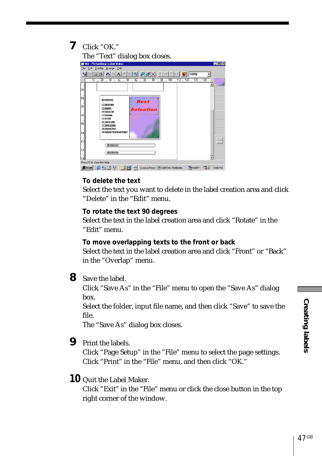**7** Click "OK."



#### **To delete the text**

Select the text you want to delete in the label creation area and click "Delete" in the "Edit" menu.

#### **To rotate the text 90 degrees**

Select the text in the label creation area and click "Rotate" in the "Edit" menu.

#### **To move overlapping texts to the front or back**

Select the text in the label creation area and click "Front" or "Back" in the "Overlap" menu.

**8** Save the label.

Click "Save As" in the "File" menu to open the "Save As" dialog box.

Select the folder, input file name, and then click "Save" to save the file.

The "Save As" dialog box closes.

**9** Print the labels.

Click "Page Setup" in the "File" menu to select the page settings. Click "Print" in the "File" menu, and then click "OK."

## **10** Quit the Label Maker.

Click "Exit" in the "File" menu or click the close button in the top right corner of the window.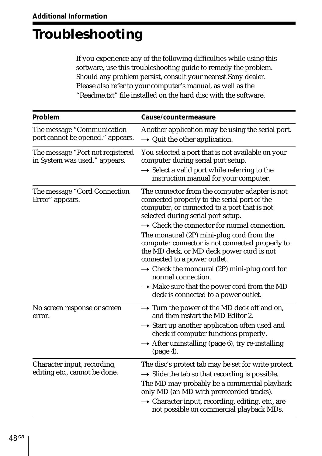# <span id="page-47-0"></span>**Troubleshooting**

If you experience any of the following difficulties while using this software, use this troubleshooting guide to remedy the problem. Should any problem persist, consult your nearest Sony dealer. Please also refer to your computer's manual, as well as the "Readme.txt" file installed on the hard disc with the software.

| Problem                                                           | Cause/countermeasure                                                                                                                                                                                                                                                                                                        |
|-------------------------------------------------------------------|-----------------------------------------------------------------------------------------------------------------------------------------------------------------------------------------------------------------------------------------------------------------------------------------------------------------------------|
| The message "Communication<br>port cannot be opened." appears.    | Another application may be using the serial port.<br>$\rightarrow$ Quit the other application.                                                                                                                                                                                                                              |
| The message "Port not registered<br>in System was used." appears. | You selected a port that is not available on your<br>computer during serial port setup.<br>$\rightarrow$ Select a valid port while referring to the<br>instruction manual for your computer.                                                                                                                                |
| The message "Cord Connection<br>Error" appears.                   | The connector from the computer adapter is not<br>connected properly to the serial port of the<br>computer, or connected to a port that is not<br>selected during serial port setup.                                                                                                                                        |
|                                                                   | $\rightarrow$ Check the connector for normal connection.<br>The monaural (2P) mini-plug cord from the<br>computer connector is not connected properly to<br>the MD deck, or MD deck power cord is not<br>connected to a power outlet.<br>$\rightarrow$ Check the monaural (2P) mini-plug cord for                           |
|                                                                   | normal connection.<br>$\rightarrow$ Make sure that the power cord from the MD<br>deck is connected to a power outlet.                                                                                                                                                                                                       |
| No screen response or screen<br>error.                            | $\rightarrow$ Turn the power of the MD deck off and on,<br>and then restart the MD Editor 2.<br>$\rightarrow$ Start up another application often used and<br>check if computer functions properly.<br>$\rightarrow$ After uninstalling (page 6), try re-installing<br>$(page 4)$ .                                          |
| Character input, recording,<br>editing etc., cannot be done.      | The disc's protect tab may be set for write protect.<br>$\rightarrow$ Slide the tab so that recording is possible.<br>The MD may probably be a commercial playback-<br>only MD (an MD with prerecorded tracks).<br>$\rightarrow$ Character input, recording, editing, etc., are<br>not possible on commercial playback MDs. |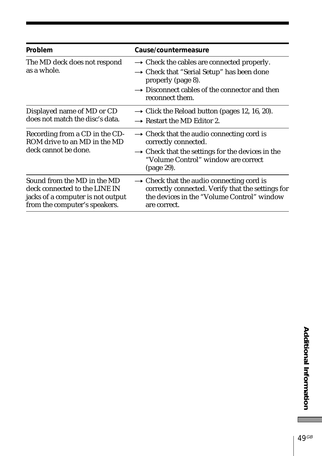| Problem                                                                                                                            | Cause/countermeasure                                                                                                                                                                                                  |
|------------------------------------------------------------------------------------------------------------------------------------|-----------------------------------------------------------------------------------------------------------------------------------------------------------------------------------------------------------------------|
| The MD deck does not respond<br>as a whole.                                                                                        | $\rightarrow$ Check the cables are connected properly.<br>$\rightarrow$ Check that "Serial Setup" has been done<br>properly (page 8).<br>$\rightarrow$ Disconnect cables of the connector and then<br>reconnect them. |
| Displayed name of MD or CD<br>does not match the disc's data.                                                                      | $\rightarrow$ Click the Reload button (pages 12, 16, 20).<br>$\rightarrow$ Restart the MD Editor 2.                                                                                                                   |
| Recording from a CD in the CD-<br>ROM drive to an MD in the MD<br>deck cannot be done.                                             | $\rightarrow$ Check that the audio connecting cord is<br>correctly connected.<br>$\rightarrow$ Check that the settings for the devices in the<br>"Volume Control" window are correct<br>(page 29).                    |
| Sound from the MD in the MD<br>deck connected to the LINE IN<br>jacks of a computer is not output<br>from the computer's speakers. | $\rightarrow$ Check that the audio connecting cord is<br>correctly connected. Verify that the settings for<br>the devices in the "Volume Control" window<br>are correct.                                              |

E